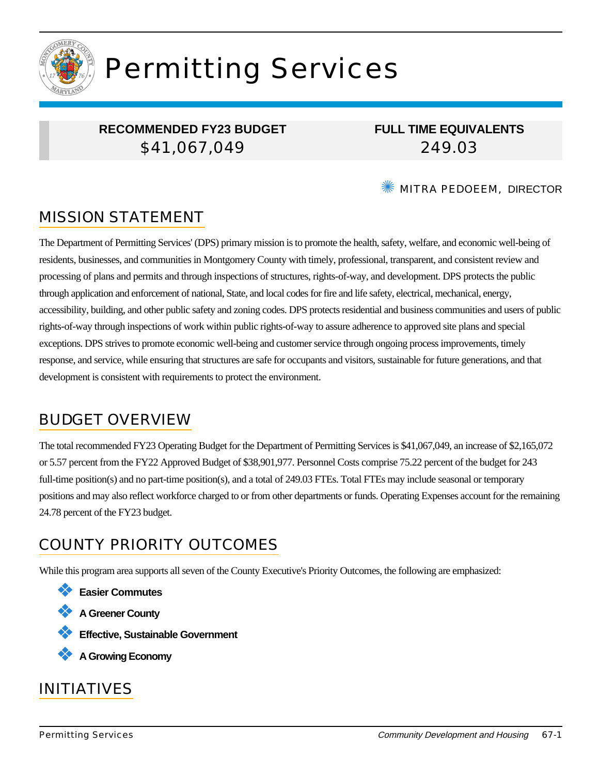

# Permitting Services

## **RECOMMENDED FY23 BUDGET** \$41,067,049

**FULL TIME EQUIVALENTS** 249.03

#### ✺ MITRA PEDOEEM, DIRECTOR

## MISSION STATEMENT

The Department of Permitting Services' (DPS) primary mission is to promote the health, safety, welfare, and economic well-being of residents, businesses, and communities in Montgomery County with timely, professional, transparent, and consistent review and processing of plans and permits and through inspections of structures, rights-of-way, and development. DPS protects the public through application and enforcement of national, State, and local codes for fire and life safety, electrical, mechanical, energy, accessibility, building, and other public safety and zoning codes. DPS protects residential and business communities and users of public rights-of-way through inspections of work within public rights-of-way to assure adherence to approved site plans and special exceptions. DPS strives to promote economic well-being and customer service through ongoing process improvements, timely response, and service, while ensuring that structures are safe for occupants and visitors, sustainable for future generations, and that development is consistent with requirements to protect the environment.

## BUDGET OVERVIEW

The total recommended FY23 Operating Budget for the Department of Permitting Services is \$41,067,049, an increase of \$2,165,072 or 5.57 percent from the FY22 Approved Budget of \$38,901,977. Personnel Costs comprise 75.22 percent of the budget for 243 full-time position(s) and no part-time position(s), and a total of 249.03 FTEs. Total FTEs may include seasonal or temporary positions and may also reflect workforce charged to or from other departments or funds. Operating Expenses account for the remaining 24.78 percent of the FY23 budget.

## COUNTY PRIORITY OUTCOMES

While this program area supports all seven of the County Executive's Priority Outcomes, the following are emphasized:

- ❖ **Easier Commutes**
- ❖ **A Greener County**
- ❖ **Effective, Sustainable Government**
- ❖ **A Growing Economy**

## INITIATIVES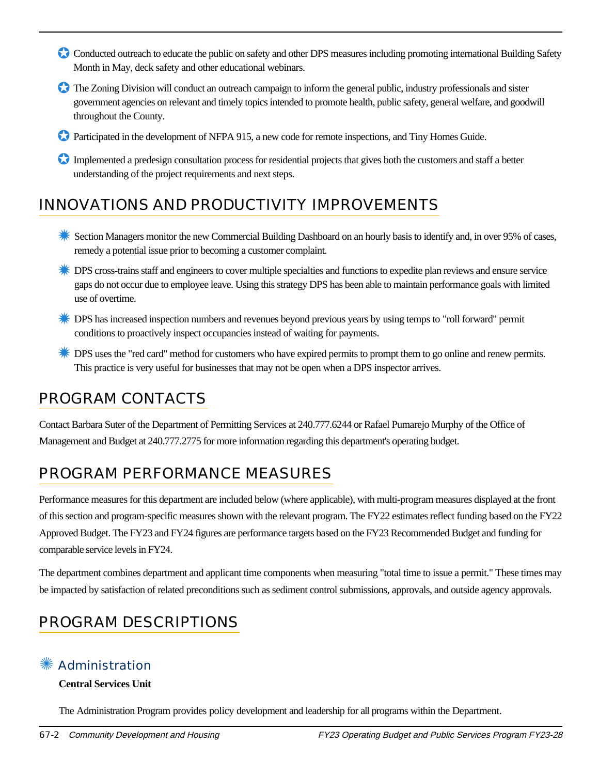- Conducted outreach to educate the public on safety and other DPS measures including promoting international Building Safety Month in May, deck safety and other educational webinars.
- ✪ The Zoning Division will conduct an outreach campaign to inform the general public, industry professionals and sister government agencies on relevant and timely topics intended to promote health, public safety, general welfare, and goodwill throughout the County.
- ✪ Participated in the development of NFPA 915, a new code for remote inspections, and Tiny Homes Guide.
- Implemented a predesign consultation process for residential projects that gives both the customers and staff a better understanding of the project requirements and next steps.

## INNOVATIONS AND PRODUCTIVITY IMPROVEMENTS

- ✹ Section Managers monitor the new Commercial Building Dashboard on an hourly basis to identify and, in over 95% of cases, remedy a potential issue prior to becoming a customer complaint.
- **EXECUTE:** DPS cross-trains staff and engineers to cover multiple specialties and functions to expedite plan reviews and ensure service gaps do not occur due to employee leave. Using this strategy DPS has been able to maintain performance goals with limited use of overtime.
- ✹ DPS has increased inspection numbers and revenues beyond previous years by using temps to "roll forward" permit conditions to proactively inspect occupancies instead of waiting for payments.
- ✹ DPS uses the "red card" method for customers who have expired permits to prompt them to go online and renew permits. This practice is very useful for businesses that may not be open when a DPS inspector arrives.

## PROGRAM CONTACTS

Contact Barbara Suter of the Department of Permitting Services at 240.777.6244 or Rafael Pumarejo Murphy of the Office of Management and Budget at 240.777.2775 for more information regarding this department's operating budget.

# PROGRAM PERFORMANCE MEASURES

Performance measures for this department are included below (where applicable), with multi-program measures displayed at the front of this section and program-specific measures shown with the relevant program. The FY22 estimates reflect funding based on the FY22 Approved Budget. The FY23 and FY24 figures are performance targets based on the FY23 Recommended Budget and funding for comparable service levels in FY24.

The department combines department and applicant time components when measuring "total time to issue a permit." These times may be impacted by satisfaction of related preconditions such as sediment control submissions, approvals, and outside agency approvals.

# PROGRAM DESCRIPTIONS

## ✺ Administration

#### **Central Services Unit**

The Administration Program provides policy development and leadership for all programs within the Department.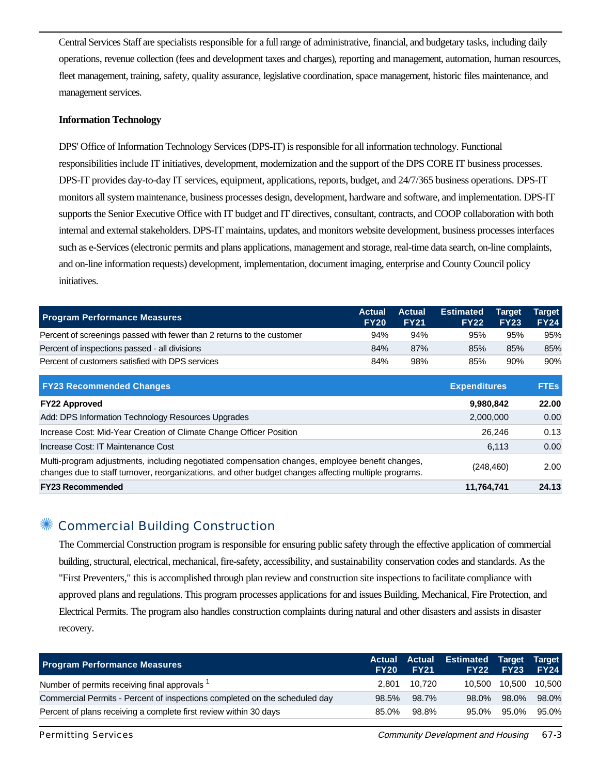Central Services Staff are specialists responsible for a full range of administrative, financial, and budgetary tasks, including daily operations, revenue collection (fees and development taxes and charges), reporting and management, automation, human resources, fleet management, training, safety, quality assurance, legislative coordination, space management, historic files maintenance, and management services.

#### **Information Technology**

DPS' Office of Information Technology Services (DPS-IT) is responsible for all information technology. Functional responsibilities include IT initiatives, development, modernization and the support of the DPS CORE IT business processes. DPS-IT provides day-to-day IT services, equipment, applications, reports, budget, and 24/7/365 business operations. DPS-IT monitors all system maintenance, business processes design, development, hardware and software, and implementation. DPS-IT supports the Senior Executive Office with IT budget and IT directives, consultant, contracts, and COOP collaboration with both internal and external stakeholders. DPS-IT maintains, updates, and monitors website development, business processes interfaces such as e-Services (electronic permits and plans applications, management and storage, real-time data search, on-line complaints, and on-line information requests) development, implementation, document imaging, enterprise and County Council policy initiatives.

| <b>Program Performance Measures</b>                                    | <b>Actual</b><br><b>FY20</b> | <b>Actual</b><br><b>FY21</b> | <b>Estimated</b><br><b>FY22</b> | Target<br><b>FY23</b> | <b>Target</b><br><b>FY24</b> |
|------------------------------------------------------------------------|------------------------------|------------------------------|---------------------------------|-----------------------|------------------------------|
| Percent of screenings passed with fewer than 2 returns to the customer | 94%                          | 94%                          | 95%                             | 95%                   | 95%                          |
| Percent of inspections passed - all divisions                          | 84%                          | 87%                          | 85%                             | 85%                   | 85%                          |
| Percent of customers satisfied with DPS services                       | 84%                          | 98%                          | 85%                             | 90%                   | 90%                          |

| <b>FY23 Recommended Changes</b>                                                                                                                                                                          | <b>Expenditures</b> | <b>FTEs</b> |
|----------------------------------------------------------------------------------------------------------------------------------------------------------------------------------------------------------|---------------------|-------------|
| <b>FY22 Approved</b>                                                                                                                                                                                     | 9,980,842           | 22.00       |
| Add: DPS Information Technology Resources Upgrades                                                                                                                                                       | 2,000,000           | 0.00        |
| Increase Cost: Mid-Year Creation of Climate Change Officer Position                                                                                                                                      | 26.246              | 0.13        |
| Increase Cost: IT Maintenance Cost                                                                                                                                                                       | 6.113               | 0.00        |
| Multi-program adjustments, including negotiated compensation changes, employee benefit changes,<br>changes due to staff turnover, reorganizations, and other budget changes affecting multiple programs. | (248, 460)          | 2.00        |
| <b>FY23 Recommended</b>                                                                                                                                                                                  | 11,764,741          | 24.13       |

#### ✺ Commercial Building Construction

The Commercial Construction program is responsible for ensuring public safety through the effective application of commercial building, structural, electrical, mechanical, fire-safety, accessibility, and sustainability conservation codes and standards. As the "First Preventers," this is accomplished through plan review and construction site inspections to facilitate compliance with approved plans and regulations. This program processes applications for and issues Building, Mechanical, Fire Protection, and Electrical Permits. The program also handles construction complaints during natural and other disasters and assists in disaster recovery.

| <b>Program Performance Measures</b>                                        | <b>FY20</b> | <b>Actual Actual</b><br><b>FY21</b> | <b>Estimated Target Target</b> | <b>FY22 FY23</b> | <b>FY24</b> |
|----------------------------------------------------------------------------|-------------|-------------------------------------|--------------------------------|------------------|-------------|
| Number of permits receiving final approvals <sup>1</sup>                   | 2.801       | 10.720                              | 10.500                         | 10.500           | 10,500      |
| Commercial Permits - Percent of inspections completed on the scheduled day | 98.5%       | 98.7%                               | 98.0%                          | 98.0%            | 98.0%       |
| Percent of plans receiving a complete first review within 30 days          | 85.0%       | 98.8%                               | 95.0%                          | 95.0%            | 95.0%       |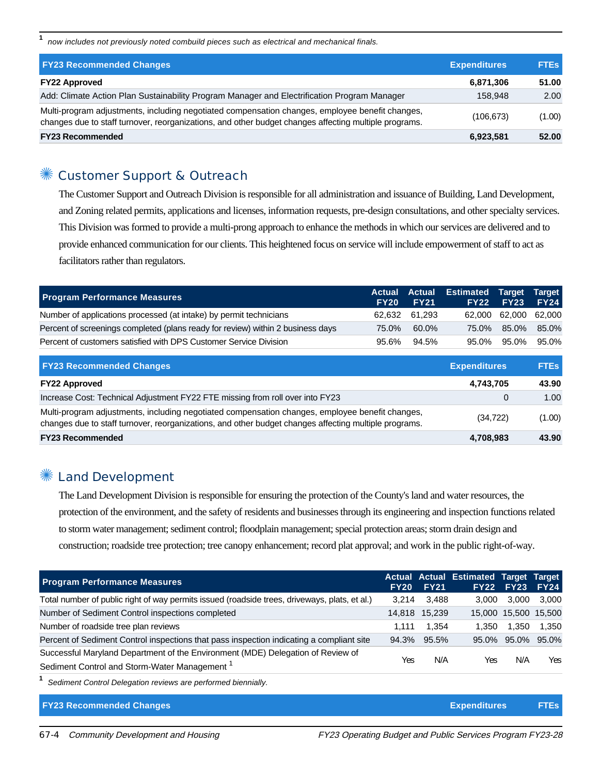**1** now includes not previously noted combuild pieces such as electrical and mechanical finals.

| <b>FY23 Recommended Changes</b>                                                                                                                                                                          | <b>Expenditures</b> | <b>FTEs</b> |
|----------------------------------------------------------------------------------------------------------------------------------------------------------------------------------------------------------|---------------------|-------------|
| <b>FY22 Approved</b>                                                                                                                                                                                     | 6,871,306           | 51.00       |
| Add: Climate Action Plan Sustainability Program Manager and Electrification Program Manager                                                                                                              | 158.948             | 2.00        |
| Multi-program adjustments, including negotiated compensation changes, employee benefit changes,<br>changes due to staff turnover, reorganizations, and other budget changes affecting multiple programs. | (106, 673)          | (1.00)      |
| <b>FY23 Recommended</b>                                                                                                                                                                                  | 6,923,581           | 52.00       |

#### Customer Support & Outreach

The Customer Support and Outreach Division is responsible for all administration and issuance of Building, Land Development, and Zoning related permits, applications and licenses, information requests, pre-design consultations, and other specialty services. This Division was formed to provide a multi-prong approach to enhance the methods in which our services are delivered and to provide enhanced communication for our clients. This heightened focus on service will include empowerment of staff to act as facilitators rather than regulators.

| <b>Program Performance Measures</b>                                             | FY20  | <b>Actual Actual</b><br><b>FY21</b> | <b>Estimated Target Target</b> | <b>FY22 FY23</b>     | <b>FY24</b> |
|---------------------------------------------------------------------------------|-------|-------------------------------------|--------------------------------|----------------------|-------------|
| Number of applications processed (at intake) by permit technicians              |       | 62.632 61.293                       |                                | 62,000 62,000 62,000 |             |
| Percent of screenings completed (plans ready for review) within 2 business days | 75.0% | 60.0%                               | 75.0%                          | 85.0%                | 85.0%       |
| Percent of customers satisfied with DPS Customer Service Division               | 95.6% | 94.5%                               | 95.0%                          | 95.0%                | 95.0%       |

| <b>FY23 Recommended Changes</b>                                                                                                                                                                          | <b>Expenditures</b> | <b>FTEs</b> |
|----------------------------------------------------------------------------------------------------------------------------------------------------------------------------------------------------------|---------------------|-------------|
| <b>FY22 Approved</b>                                                                                                                                                                                     | 4,743,705           | 43.90       |
| Increase Cost: Technical Adjustment FY22 FTE missing from roll over into FY23                                                                                                                            |                     | 1.00        |
| Multi-program adjustments, including negotiated compensation changes, employee benefit changes,<br>changes due to staff turnover, reorganizations, and other budget changes affecting multiple programs. | (34, 722)           | (1.00)      |
| <b>FY23 Recommended</b>                                                                                                                                                                                  | 4,708,983           | 43.90       |

#### **<sup>‰</sup> Land Development**

The Land Development Division is responsible for ensuring the protection of the County's land and water resources, the protection of the environment, and the safety of residents and businesses through its engineering and inspection functions related to storm water management; sediment control; floodplain management; special protection areas; storm drain design and construction; roadside tree protection; tree canopy enhancement; record plat approval; and work in the public right-of-way.

| <b>Program Performance Measures</b>                                                           | <b>FY20</b> | <b>FY21</b> | <b>Actual Actual Estimated Target Target</b> | <b>FY22 FY23</b>     | <b>FY24</b> |
|-----------------------------------------------------------------------------------------------|-------------|-------------|----------------------------------------------|----------------------|-------------|
| Total number of public right of way permits issued (roadside trees, driveways, plats, et al.) | 3.214       | 3.488       | 3.000                                        | 3.000                | 3.000       |
| Number of Sediment Control inspections completed                                              | 14.818      | 15.239      |                                              | 15.000 15.500 15.500 |             |
| Number of roadside tree plan reviews                                                          | 1.111       | 1.354       | 1.350                                        | 1.350                | 1.350       |
| Percent of Sediment Control inspections that pass inspection indicating a compliant site      | 94.3%       | 95.5%       |                                              | 95.0% 95.0% 95.0%    |             |
| Successful Maryland Department of the Environment (MDE) Delegation of Review of               |             |             |                                              |                      |             |
| Sediment Control and Storm-Water Management <sup>1</sup>                                      | Yes         | N/A         | Yes                                          | N/A                  | Yes         |

**1** Sediment Control Delegation reviews are performed biennially.

#### **FY23 Recommended Changes Expenditures FTEs**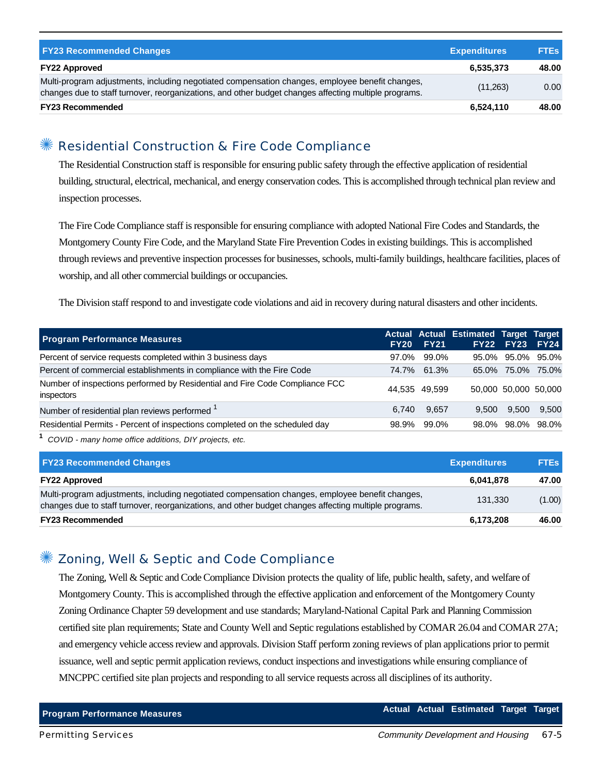| <b>FY23 Recommended Changes</b>                                                                                                                                                                          | <b>Expenditures</b> | <b>FTEs</b> |
|----------------------------------------------------------------------------------------------------------------------------------------------------------------------------------------------------------|---------------------|-------------|
| <b>FY22 Approved</b>                                                                                                                                                                                     | 6,535,373           | 48.00       |
| Multi-program adjustments, including negotiated compensation changes, employee benefit changes,<br>changes due to staff turnover, reorganizations, and other budget changes affecting multiple programs. | (11,263)            | 0.00        |
| <b>FY23 Recommended</b>                                                                                                                                                                                  | 6,524,110           | 48.00       |

#### ✺ Residential Construction & Fire Code Compliance

The Residential Construction staff is responsible for ensuring public safety through the effective application of residential building, structural, electrical, mechanical, and energy conservation codes. This is accomplished through technical plan review and inspection processes.

The Fire Code Compliance staff is responsible for ensuring compliance with adopted National Fire Codes and Standards, the Montgomery County Fire Code, and the Maryland State Fire Prevention Codes in existing buildings. This is accomplished through reviews and preventive inspection processes for businesses, schools, multi-family buildings, healthcare facilities, places of worship, and all other commercial buildings or occupancies.

The Division staff respond to and investigate code violations and aid in recovery during natural disasters and other incidents.

| <b>Program Performance Measures</b>                                                       |       | <b>FY20 FY21</b> | Actual Actual Estimated Target Target |       | FY22 FY23 FY24       |
|-------------------------------------------------------------------------------------------|-------|------------------|---------------------------------------|-------|----------------------|
| Percent of service requests completed within 3 business days                              | 97.0% | 99.0%            |                                       |       | 95.0% 95.0% 95.0%    |
| Percent of commercial establishments in compliance with the Fire Code                     |       | 74.7% 61.3%      |                                       |       | 65.0% 75.0% 75.0%    |
| Number of inspections performed by Residential and Fire Code Compliance FCC<br>inspectors |       | 44.535 49.599    |                                       |       | 50,000 50,000 50,000 |
| Number of residential plan reviews performed <sup>1</sup>                                 | 6.740 | 9,657            | 9.500                                 | 9.500 | 9.500                |
| Residential Permits - Percent of inspections completed on the scheduled day               | 98.9% | 99.0%            |                                       |       | 98.0% 98.0% 98.0%    |

**1** COVID - many home office additions, DIY projects, etc.

| <b>FY23 Recommended Changes</b>                                                                                                                                                                          | <b>Expenditures</b> | <b>FTEs</b> |
|----------------------------------------------------------------------------------------------------------------------------------------------------------------------------------------------------------|---------------------|-------------|
| <b>FY22 Approved</b>                                                                                                                                                                                     | 6.041.878           | 47.00       |
| Multi-program adjustments, including negotiated compensation changes, employee benefit changes,<br>changes due to staff turnover, reorganizations, and other budget changes affecting multiple programs. | 131.330             | (1.00)      |
| <b>FY23 Recommended</b>                                                                                                                                                                                  | 6,173,208           | 46.00       |

## ✺ Zoning, Well & Septic and Code Compliance

The Zoning, Well & Septic and Code Compliance Division protects the quality of life, public health, safety, and welfare of Montgomery County. This is accomplished through the effective application and enforcement of the Montgomery County Zoning Ordinance Chapter 59 development and use standards; Maryland-National Capital Park and Planning Commission certified site plan requirements; State and County Well and Septic regulations established by COMAR 26.04 and COMAR 27A; and emergency vehicle access review and approvals. Division Staff perform zoning reviews of plan applications prior to permit issuance, well and septic permit application reviews, conduct inspections and investigations while ensuring compliance of MNCPPC certified site plan projects and responding to all service requests across all disciplines of its authority.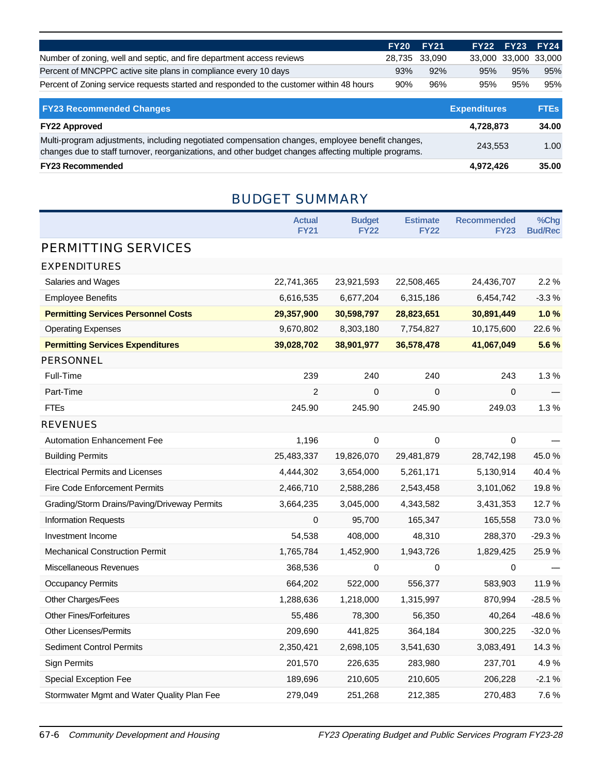|                                                                                          | <b>FY20 FY21</b> |               |     | FY22 FY23 FY24       |     |
|------------------------------------------------------------------------------------------|------------------|---------------|-----|----------------------|-----|
| Number of zoning, well and septic, and fire department access reviews                    |                  | 28.735 33.090 |     | 33,000 33,000 33,000 |     |
| Percent of MNCPPC active site plans in compliance every 10 days                          | 93%              | 92%           | 95% | 95%                  | 95% |
| Percent of Zoning service requests started and responded to the customer within 48 hours | 90%              | 96%           | 95% | 95%                  | 95% |

| <b>FY23 Recommended Changes</b>                                                                                                                                                                          | <b>Expenditures</b> | <b>FTES</b> |
|----------------------------------------------------------------------------------------------------------------------------------------------------------------------------------------------------------|---------------------|-------------|
| <b>FY22 Approved</b>                                                                                                                                                                                     | 4,728,873           | 34.00       |
| Multi-program adjustments, including negotiated compensation changes, employee benefit changes,<br>changes due to staff turnover, reorganizations, and other budget changes affecting multiple programs. | 243.553             | 1.00        |
| <b>FY23 Recommended</b>                                                                                                                                                                                  | 4,972,426           | 35.00       |

## BUDGET SUMMARY

|                                              | <b>Actual</b>  | <b>Budget</b> | <b>Estimate</b> | <b>Recommended</b> | %Chg           |
|----------------------------------------------|----------------|---------------|-----------------|--------------------|----------------|
|                                              | <b>FY21</b>    | <b>FY22</b>   | <b>FY22</b>     | <b>FY23</b>        | <b>Bud/Rec</b> |
| PERMITTING SERVICES                          |                |               |                 |                    |                |
| <b>EXPENDITURES</b>                          |                |               |                 |                    |                |
| Salaries and Wages                           | 22,741,365     | 23,921,593    | 22,508,465      | 24,436,707         | 2.2%           |
| <b>Employee Benefits</b>                     | 6,616,535      | 6,677,204     | 6,315,186       | 6,454,742          | $-3.3%$        |
| <b>Permitting Services Personnel Costs</b>   | 29,357,900     | 30,598,797    | 28,823,651      | 30,891,449         | 1.0%           |
| <b>Operating Expenses</b>                    | 9,670,802      | 8,303,180     | 7,754,827       | 10,175,600         | 22.6%          |
| <b>Permitting Services Expenditures</b>      | 39,028,702     | 38,901,977    | 36,578,478      | 41,067,049         | 5.6%           |
| <b>PERSONNEL</b>                             |                |               |                 |                    |                |
| Full-Time                                    | 239            | 240           | 240             | 243                | 1.3%           |
| Part-Time                                    | $\overline{2}$ | $\mathbf 0$   | $\mathbf 0$     | $\Omega$           |                |
| <b>FTEs</b>                                  | 245.90         | 245.90        | 245.90          | 249.03             | 1.3%           |
| <b>REVENUES</b>                              |                |               |                 |                    |                |
| <b>Automation Enhancement Fee</b>            | 1,196          | 0             | 0               | 0                  |                |
| <b>Building Permits</b>                      | 25,483,337     | 19,826,070    | 29,481,879      | 28,742,198         | 45.0%          |
| <b>Electrical Permits and Licenses</b>       | 4,444,302      | 3,654,000     | 5,261,171       | 5,130,914          | 40.4%          |
| <b>Fire Code Enforcement Permits</b>         | 2,466,710      | 2,588,286     | 2,543,458       | 3,101,062          | 19.8%          |
| Grading/Storm Drains/Paving/Driveway Permits | 3,664,235      | 3,045,000     | 4,343,582       | 3,431,353          | 12.7%          |
| <b>Information Requests</b>                  | 0              | 95,700        | 165,347         | 165,558            | 73.0%          |
| Investment Income                            | 54,538         | 408,000       | 48,310          | 288,370            | $-29.3%$       |
| <b>Mechanical Construction Permit</b>        | 1,765,784      | 1,452,900     | 1,943,726       | 1,829,425          | 25.9%          |
| Miscellaneous Revenues                       | 368,536        | 0             | $\pmb{0}$       | 0                  |                |
| <b>Occupancy Permits</b>                     | 664,202        | 522,000       | 556,377         | 583,903            | 11.9%          |
| Other Charges/Fees                           | 1,288,636      | 1,218,000     | 1,315,997       | 870,994            | $-28.5%$       |
| <b>Other Fines/Forfeitures</b>               | 55,486         | 78,300        | 56,350          | 40,264             | -48.6%         |
| <b>Other Licenses/Permits</b>                | 209,690        | 441,825       | 364,184         | 300,225            | $-32.0%$       |
| <b>Sediment Control Permits</b>              | 2,350,421      | 2,698,105     | 3,541,630       | 3,083,491          | 14.3%          |
| Sign Permits                                 | 201,570        | 226,635       | 283,980         | 237,701            | 4.9%           |
| Special Exception Fee                        | 189,696        | 210,605       | 210,605         | 206,228            | $-2.1%$        |
| Stormwater Mgmt and Water Quality Plan Fee   | 279,049        | 251,268       | 212,385         | 270,483            | 7.6%           |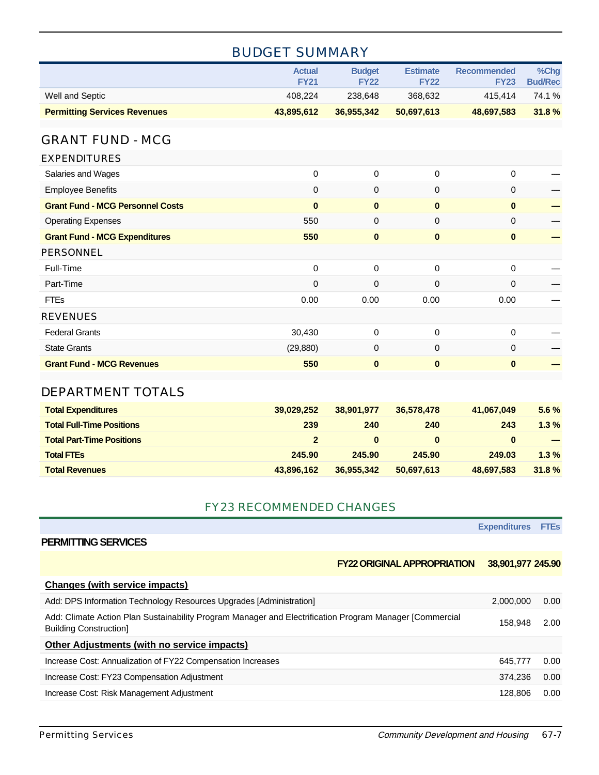|                                         | <b>Actual</b><br><b>FY21</b> | <b>Budget</b><br><b>FY22</b> | <b>Estimate</b><br><b>FY22</b> | <b>Recommended</b><br><b>FY23</b> | %Chg<br><b>Bud/Rec</b> |
|-----------------------------------------|------------------------------|------------------------------|--------------------------------|-----------------------------------|------------------------|
| Well and Septic                         | 408,224                      | 238,648                      | 368,632                        | 415,414                           | 74.1%                  |
| <b>Permitting Services Revenues</b>     | 43,895,612                   | 36,955,342                   | 50,697,613                     | 48,697,583                        | 31.8%                  |
|                                         |                              |                              |                                |                                   |                        |
| <b>GRANT FUND - MCG</b>                 |                              |                              |                                |                                   |                        |
| <b>EXPENDITURES</b>                     |                              |                              |                                |                                   |                        |
| Salaries and Wages                      | $\mathbf 0$                  | 0                            | $\mathbf 0$                    | 0                                 |                        |
| <b>Employee Benefits</b>                | $\mathbf 0$                  | 0                            | $\mathbf 0$                    | $\mathbf{0}$                      |                        |
| <b>Grant Fund - MCG Personnel Costs</b> | $\bf{0}$                     | $\bf{0}$                     | $\mathbf 0$                    | $\bf{0}$                          |                        |
| <b>Operating Expenses</b>               | 550                          | 0                            | 0                              | 0                                 |                        |
| <b>Grant Fund - MCG Expenditures</b>    | 550                          | $\bf{0}$                     | $\pmb{0}$                      | $\bf{0}$                          |                        |
| <b>PERSONNEL</b>                        |                              |                              |                                |                                   |                        |
| Full-Time                               | $\mathbf 0$                  | 0                            | $\pmb{0}$                      | 0                                 |                        |
| Part-Time                               | $\mathbf 0$                  | 0                            | $\mathbf 0$                    | 0                                 |                        |
| <b>FTEs</b>                             | 0.00                         | 0.00                         | 0.00                           | 0.00                              |                        |
| <b>REVENUES</b>                         |                              |                              |                                |                                   |                        |
| <b>Federal Grants</b>                   | 30,430                       | 0                            | $\mathbf 0$                    | 0                                 |                        |
| <b>State Grants</b>                     | (29, 880)                    | 0                            | 0                              | 0                                 |                        |
| <b>Grant Fund - MCG Revenues</b>        | 550                          | $\bf{0}$                     | $\mathbf 0$                    | $\bf{0}$                          |                        |
| <b>DEPARTMENT TOTALS</b>                |                              |                              |                                |                                   |                        |
|                                         |                              |                              |                                |                                   |                        |
| <b>Total Expenditures</b>               | 39,029,252                   | 38,901,977                   | 36,578,478                     | 41,067,049                        | 5.6%                   |
| <b>Total Full-Time Positions</b>        | 239                          | 240                          | 240                            | 243                               | 1.3%                   |
| <b>Total Part-Time Positions</b>        | $\overline{2}$               | $\bf{0}$                     | $\bf{0}$                       | $\bf{0}$                          |                        |
| <b>Total FTEs</b>                       | 245.90                       | 245.90                       | 245.90                         | 249.03                            | 1.3%                   |
| <b>Total Revenues</b>                   | 43,896,162                   | 36,955,342                   | 50,697,613                     | 48,697,583                        | 31.8%                  |

## BUDGET SUMMARY

#### FY23 RECOMMENDED CHANGES

|                                                                                                                                          | <b>Expenditures</b> | <b>FTES</b> |
|------------------------------------------------------------------------------------------------------------------------------------------|---------------------|-------------|
| <b>PERMITTING SERVICES</b>                                                                                                               |                     |             |
| <b>FY22 ORIGINAL APPROPRIATION</b>                                                                                                       | 38,901,977 245.90   |             |
| <b>Changes (with service impacts)</b>                                                                                                    |                     |             |
| Add: DPS Information Technology Resources Upgrades [Administration]                                                                      | 2.000.000           | 0.00        |
| Add: Climate Action Plan Sustainability Program Manager and Electrification Program Manager [Commercial<br><b>Building Construction]</b> | 158.948             | 2.00        |
| Other Adjustments (with no service impacts)                                                                                              |                     |             |
| Increase Cost: Annualization of FY22 Compensation Increases                                                                              | 645.777             | 0.00        |
| Increase Cost: FY23 Compensation Adjustment                                                                                              | 374.236             | 0.00        |
| Increase Cost: Risk Management Adjustment                                                                                                | 128,806             | 0.00        |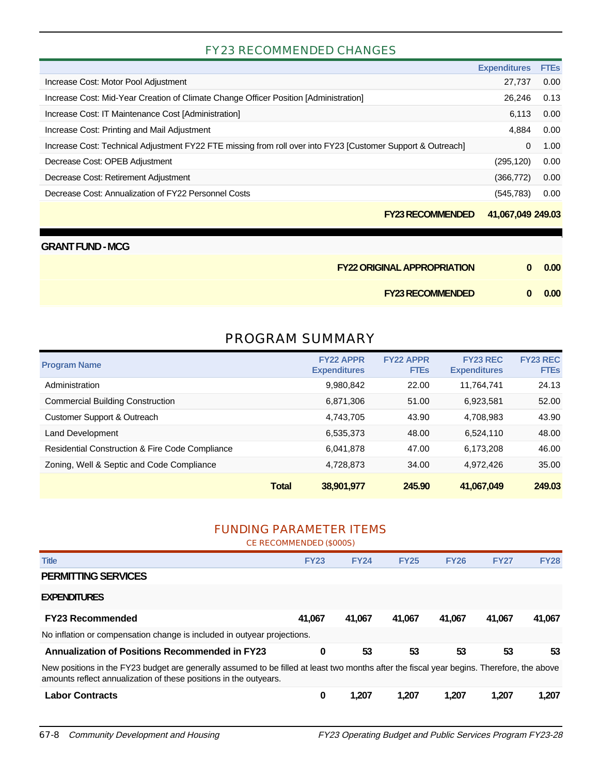#### FY23 RECOMMENDED CHANGES

|                                                                                                             | <b>Expenditures</b> | <b>FTEs</b> |
|-------------------------------------------------------------------------------------------------------------|---------------------|-------------|
| Increase Cost: Motor Pool Adjustment                                                                        | 27.737              | 0.00        |
| Increase Cost: Mid-Year Creation of Climate Change Officer Position [Administration]                        | 26.246              | 0.13        |
| Increase Cost: IT Maintenance Cost [Administration]                                                         | 6,113               | 0.00        |
| Increase Cost: Printing and Mail Adjustment                                                                 | 4.884               | 0.00        |
| Increase Cost: Technical Adjustment FY22 FTE missing from roll over into FY23 [Customer Support & Outreach] | 0                   | 1.00        |
| Decrease Cost: OPEB Adjustment                                                                              | (295, 120)          | 0.00        |
| Decrease Cost: Retirement Adjustment                                                                        | (366, 772)          | 0.00        |
| Decrease Cost: Annualization of FY22 Personnel Costs                                                        | (545, 783)          | 0.00        |
|                                                                                                             |                     |             |

**FY23 RECOMMENDED 41,067,049 249.03**

| <b>GRANT FUND - MCG</b>            |    |      |
|------------------------------------|----|------|
| <b>FY22 ORIGINAL APPROPRIATION</b> | n. | 0.00 |
| <b>FY23 RECOMMENDED</b>            | 0  | 0.00 |

## PROGRAM SUMMARY

| <b>Program Name</b>                             |              | <b>FY22 APPR</b><br><b>Expenditures</b> | <b>FY22 APPR</b><br><b>FTEs</b> | <b>FY23 REC</b><br><b>Expenditures</b> | <b>FY23 REC</b><br><b>FTEs</b> |
|-------------------------------------------------|--------------|-----------------------------------------|---------------------------------|----------------------------------------|--------------------------------|
| Administration                                  |              | 9,980,842                               | 22.00                           | 11.764.741                             | 24.13                          |
| <b>Commercial Building Construction</b>         |              | 6.871.306                               | 51.00                           | 6.923.581                              | 52.00                          |
| Customer Support & Outreach                     |              | 4.743.705                               | 43.90                           | 4,708,983                              | 43.90                          |
| Land Development                                |              | 6,535,373                               | 48.00                           | 6,524,110                              | 48.00                          |
| Residential Construction & Fire Code Compliance |              | 6.041.878                               | 47.00                           | 6.173.208                              | 46.00                          |
| Zoning, Well & Septic and Code Compliance       |              | 4,728,873                               | 34.00                           | 4.972.426                              | 35.00                          |
|                                                 | <b>Total</b> | 38,901,977                              | 245.90                          | 41,067,049                             | 249.03                         |

#### FUNDING PARAMETER ITEMS CE RECOMMENDED (\$000S)

|                                                                                                                                                                                                                 | <b>UE REUUIVIIVIEINDED (\$0005)</b> |             |             |             |             |             |
|-----------------------------------------------------------------------------------------------------------------------------------------------------------------------------------------------------------------|-------------------------------------|-------------|-------------|-------------|-------------|-------------|
| <b>Title</b>                                                                                                                                                                                                    | <b>FY23</b>                         | <b>FY24</b> | <b>FY25</b> | <b>FY26</b> | <b>FY27</b> | <b>FY28</b> |
| <b>PERMITTING SERVICES</b>                                                                                                                                                                                      |                                     |             |             |             |             |             |
| <b>EXPENDITURES</b>                                                                                                                                                                                             |                                     |             |             |             |             |             |
| <b>FY23 Recommended</b>                                                                                                                                                                                         | 41.067                              | 41.067      | 41.067      | 41.067      | 41.067      | 41.067      |
| No inflation or compensation change is included in outyear projections.                                                                                                                                         |                                     |             |             |             |             |             |
| <b>Annualization of Positions Recommended in FY23</b>                                                                                                                                                           | 0                                   | 53          | 53          | 53          | 53          | 53          |
| New positions in the FY23 budget are generally assumed to be filled at least two months after the fiscal year begins. Therefore, the above<br>amounts reflect annualization of these positions in the outyears. |                                     |             |             |             |             |             |
| <b>Labor Contracts</b>                                                                                                                                                                                          | 0                                   | 1.207       | 1.207       | 1,207       | 1,207       | 1.207       |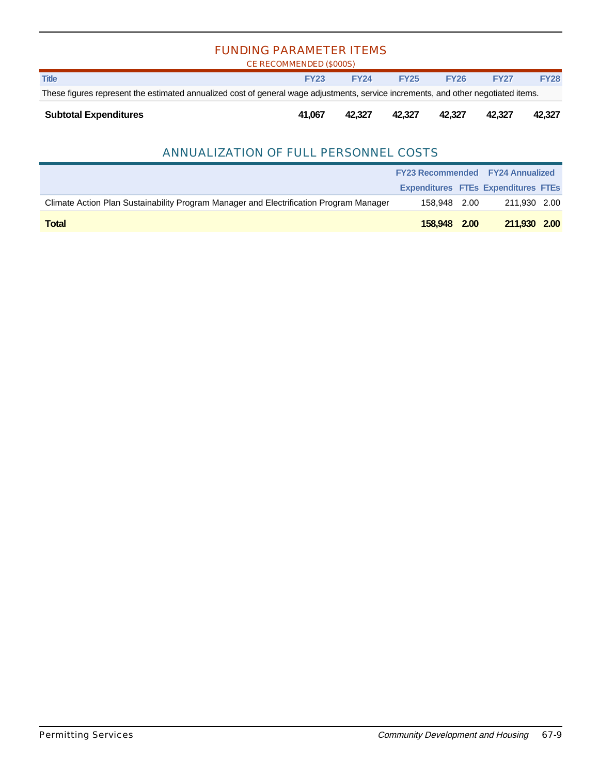| <b>FUNDING PARAMETER ITEMS</b><br>CE RECOMMENDED (\$000S)                                                                          |             |             |             |             |             |             |  |
|------------------------------------------------------------------------------------------------------------------------------------|-------------|-------------|-------------|-------------|-------------|-------------|--|
| <b>Title</b>                                                                                                                       | <b>FY23</b> | <b>FY24</b> | <b>FY25</b> | <b>FY26</b> | <b>FY27</b> | <b>FY28</b> |  |
| These figures represent the estimated annualized cost of general wage adjustments, service increments, and other negotiated items. |             |             |             |             |             |             |  |
| <b>Subtotal Expenditures</b><br>41.067<br>42.327<br>42.327<br>42.327<br>42.327<br>42.327                                           |             |             |             |             |             |             |  |

#### ANNUALIZATION OF FULL PERSONNEL COSTS

|                                                                                        | <b>FY23 Recommended FY24 Annualized</b>    |  |              |  |
|----------------------------------------------------------------------------------------|--------------------------------------------|--|--------------|--|
|                                                                                        | <b>Expenditures FTEs Expenditures FTEs</b> |  |              |  |
| Climate Action Plan Sustainability Program Manager and Electrification Program Manager | 158.948 2.00                               |  | 211.930 2.00 |  |
| <b>Total</b>                                                                           | 158,948 2.00                               |  | 211,930 2.00 |  |